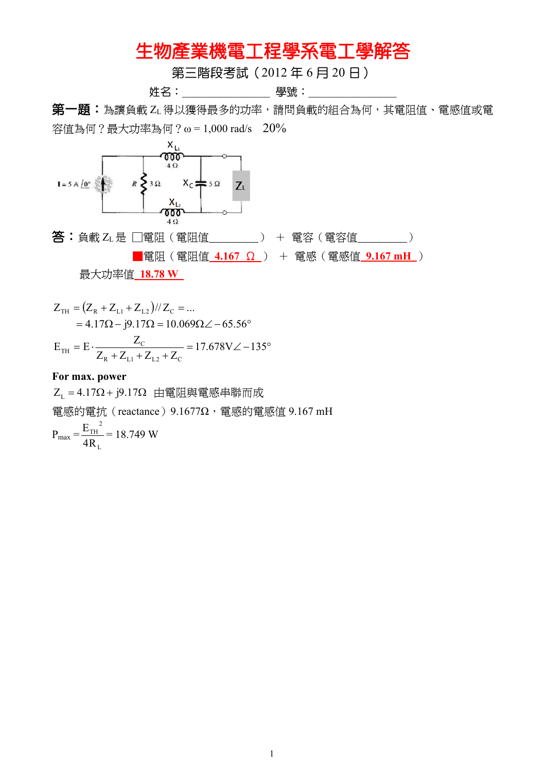## 生物產業機電工程學系電工學解答

第三階段考試(2012 年 6 月 20 日)

姓名:\_\_\_\_\_\_\_\_\_\_\_\_\_\_\_\_ 學號:\_\_\_\_\_\_\_\_\_\_\_\_\_\_\_\_

第一題:為讓負載 ZL得以獲得最多的功率,請問負載的組合為何,其電阻值、電感值或電 容值為何?最大功率為何?ω = 1,000 rad/s 20%



$$
Z_{TH} = (Z_{R} + Z_{L1} + Z_{L2}) / / Z_{C} = ...
$$
  
= 4.17 $\Omega$  – j9.17 $\Omega$  = 10.069 $\Omega$ ∠ – 65.56°  

$$
E_{TH} = E \cdot \frac{Z_{C}}{Z_{R} + Z_{L1} + Z_{L2} + Z_{C}} = 17.678V \angle -135°
$$

## **For max. power**

 $Z_{L} = 4.17 \Omega + j9.17 \Omega$ 由電阻與電感串聯而成 電感的電抗(reactance)9.1677Ω,電感的電感值 9.167 mH  $P_{\text{max}} =$ L 2 TH 4R  $\frac{E_{TH}^2}{E_{TH}}$  = 18.749 W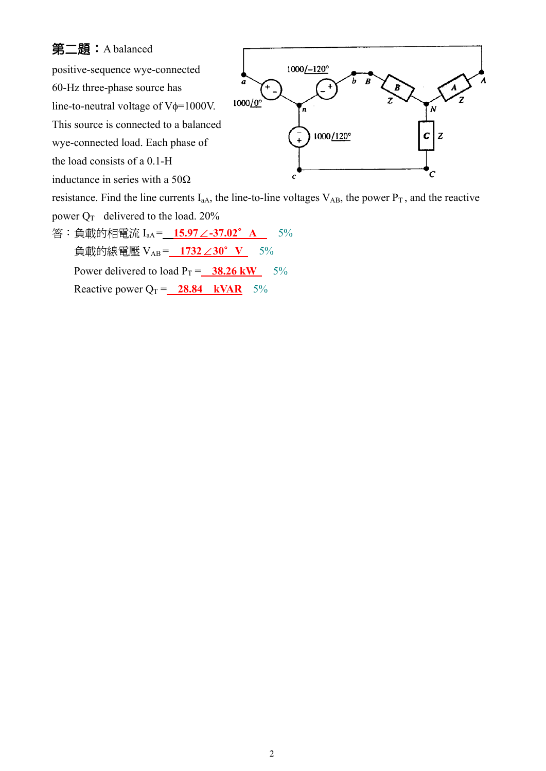## 第二題:A balanced

positive-sequence wye-connected

60-Hz three-phase source has

line-to-neutral voltage of  $V\phi=1000V$ .

This source is connected to a balanced

wye-connected load. Each phase of

the load consists of a 0.1-H

inductance in series with a 50 $\Omega$ 



resistance. Find the line currents  $I_{aA}$ , the line-to-line voltages  $V_{AB}$ , the power  $P_T$ , and the reactive

- power  $Q_T$  delivered to the load. 20%
- 答:負載的相電流 I<sub>aA</sub> = 15.97∠-37.02° A 2<sup>5%</sup> 負載的線電壓 VAB = **1732 30 V** ∠ ∘5% Power delivered to load  $P_T = 38.26 \text{ kW}$  5% Reactive power  $Q_T =$  **28.84 kVAR** 5%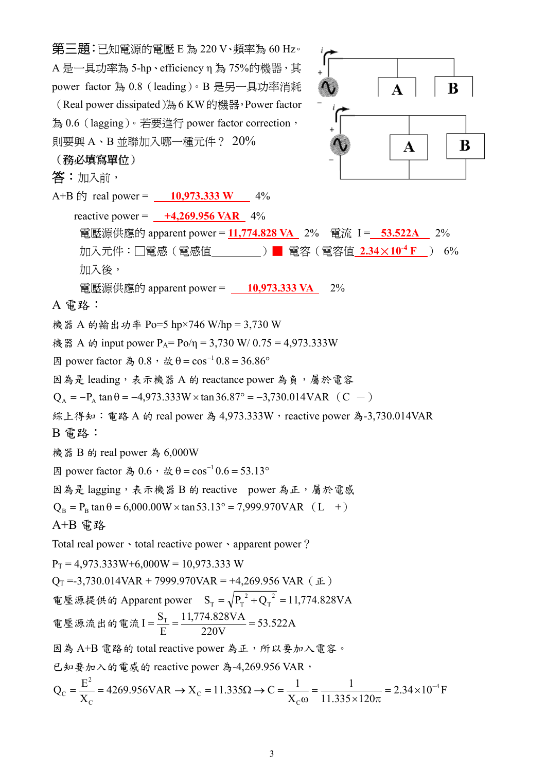第三題:已知電源的電壓 E 為 220 V、頻率為 60 Hz。 A 是一具功率為 5-hp、efficiency n 為 75%的機器, 其 power factor 為 0.8(leading)。B 是另一具功率消耗  $\bf{B}$ (Real power dissipated)為6 KW的機器,Power factor 為 0.6(lagging)。若要進行 power factor correction, 則要與 A、B 並聯加入哪一種元件? 20% B Α (務必填寫單位) 答:加入前, A+B  $\text{f}$  real power = **10,973.333 W** 4% reactive power = **+4,269.956 VAR** 4% 電壓源供應的 apparent power = 11,774.828 VA 2% 電流 I = 53.522A 2% 加入元件:□電感(電感值 )■ 電容(電容值 **2.34**×**10-4 F** ) 6% 加入後, 電壓源供應的 apparent power =  $\underline{\hspace{1cm} 10,973.333\ VA}$  2% A 電路: 機器 A 的輸出功率 Po=5 hp×746 W/hp = 3,730 W 機器 A 的 input power  $P_A = Po/\eta = 3{,}730$  W/ 0.75 = 4,973.333W 因 power factor 為 0.8, 故 θ =  $\cos^{-1}$  0.8 = 36.86 $\circ$ 因為是 leading, 表示機器 A 的 reactance power 為負,屬於電容  $Q_A = -P_A \tan \theta = -4.973.333W \times \tan 36.87^\circ = -3.730.014VAR$  (C -) 綜上得知: 電路 A 的 real power 為 4.973.333W, reactive power 為-3.730.014VAR B 電路: 機器 B 的 real power 為 6,000W 因 power factor 為 0.6, 故 θ =  $\cos^{-1}$  0.6 = 53.13° 因為是 lagging,表示機器 B 的 reactive power 為正,屬於電感  $Q_B = P_B \tan \theta = 6,000.00W \times \tan 53.13^\circ = 7,999.970VAR$  (L +) A+B 電路 Total real power · total reactive power · apparent power?  $P_T = 4.973.333W + 6.000W = 10.973.333W$  $Q_T = -3{,}730.014VAR + 7999.970VAR = +4{,}269.956VAR (E)$ 電壓源提供的 Apparent power  $S_T = \sqrt{P_T^2 + Q_T^2} = 11,774.828 VA$  $_{\rm T} = \sqrt{P_{\rm T}^{2} + Q_{\rm T}^{2}} =$  $I = \frac{S_T}{I} = \frac{11,774.828 VA}{228 V A} =$ 11,774.828VA 電壓源流出的電流  $I = \frac{5T}{D} = \frac{11,777,020 \text{ V1}}{200 \text{ V1}} = 53.522 \text{ A}$ E 220V 因為 A+B 電路的 total reactive power 為正,所以要加入電容。 已知要加入的電感的 reactive power 為-4,269.956 VAR, 2  $Q_C = \frac{E^2}{V} = 4269.956 \text{VAR} \rightarrow X_C = 11.335 \Omega \rightarrow C = \frac{1}{V} = \frac{1}{14.335 \Omega \cdot 10^{-4}} = 2.34 \times 10^{-4}$  $4269.956VAR \rightarrow X_c = 11.335 \Omega \rightarrow C = \frac{1}{\sigma}$ 1  $C_{\rm C} = \frac{E}{X_{\rm C}} = 4269.956 \text{VAR} \rightarrow X_{\rm C} = 11.335 \Omega \rightarrow C = \frac{1}{X_{\rm C}\omega} = \frac{1}{11.335 \times 120\pi} = 2.34 \times 10^{-10}$  $2.34 \times 10^{-4}$  F C X X  $11.335 \times 120$ C C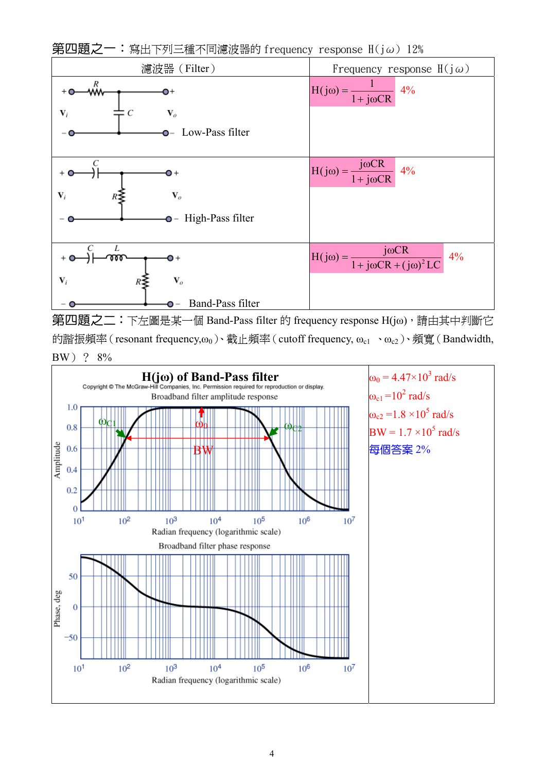

第四題之二:下左圖是某一個 Band-Pass filter 的 frequency response H(jω),請由其中判斷它 的諧振頻率 (resonant frequency, $ω_0$ )、截止頻率 (cutoff frequency,  $ω_{c1} \cdot ω_{c2}$ )、頻寬 (Bandwidth, BW)? 8%